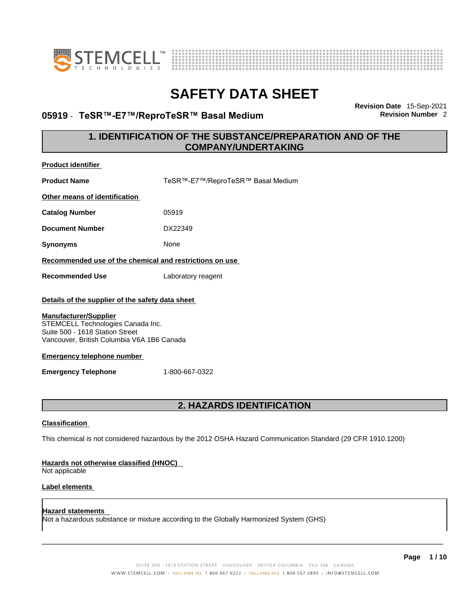



### **05919** - **TeSR™-E7™/ReproTeSR™ Basal Medium Revision Number** 2

**Revision Date** 15-Sep-2021

### **1. IDENTIFICATION OF THE SUBSTANCE/PREPARATION AND OF THE COMPANY/UNDERTAKING**

| <b>Product identifier</b>                                                                                                                                                                                                                                                                   |                                                                                                             |  |
|---------------------------------------------------------------------------------------------------------------------------------------------------------------------------------------------------------------------------------------------------------------------------------------------|-------------------------------------------------------------------------------------------------------------|--|
| <b>Product Name</b>                                                                                                                                                                                                                                                                         | TeSR™-E7™/ReproTeSR™ Basal Medium                                                                           |  |
| Other means of identification                                                                                                                                                                                                                                                               |                                                                                                             |  |
| <b>Catalog Number</b>                                                                                                                                                                                                                                                                       | 05919                                                                                                       |  |
| <b>Document Number</b>                                                                                                                                                                                                                                                                      | DX22349                                                                                                     |  |
| <b>Synonyms</b>                                                                                                                                                                                                                                                                             | None                                                                                                        |  |
| Recommended use of the chemical and restrictions on use                                                                                                                                                                                                                                     |                                                                                                             |  |
| <b>Recommended Use</b>                                                                                                                                                                                                                                                                      | Laboratory reagent                                                                                          |  |
| Details of the supplier of the safety data sheet<br><b>Manufacturer/Supplier</b><br>STEMCELL Technologies Canada Inc.<br>Suite 500 - 1618 Station Street<br>Vancouver, British Columbia V6A 1B6 Canada<br><b>Emergency telephone number</b><br>1-800-667-0322<br><b>Emergency Telephone</b> |                                                                                                             |  |
| <b>2. HAZARDS IDENTIFICATION</b>                                                                                                                                                                                                                                                            |                                                                                                             |  |
| <b>Classification</b>                                                                                                                                                                                                                                                                       |                                                                                                             |  |
|                                                                                                                                                                                                                                                                                             | This chemical is not considered hazardous by the 2012 OSHA Hazard Communication Standard (29 CFR 1910.1200) |  |
| <b>Hazards not otherwise classified (HNOC)</b><br>Not applicable                                                                                                                                                                                                                            |                                                                                                             |  |
| Label elements                                                                                                                                                                                                                                                                              |                                                                                                             |  |

**Hazard statements**  Not a hazardous substance or mixture according to the Globally Harmonized System (GHS)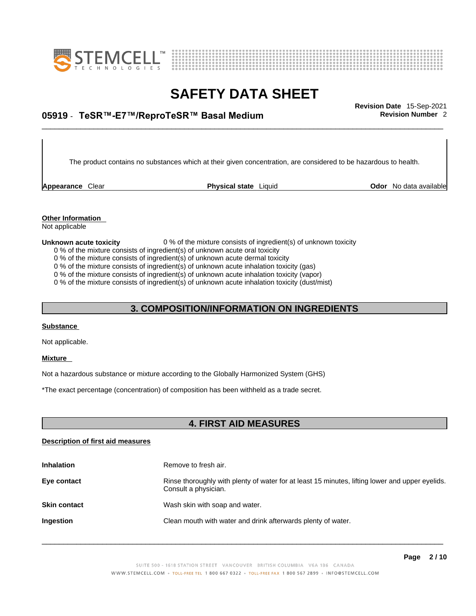



## \_\_\_\_\_\_\_\_\_\_\_\_\_\_\_\_\_\_\_\_\_\_\_\_\_\_\_\_\_\_\_\_\_\_\_\_\_\_\_\_\_\_\_\_\_\_\_\_\_\_\_\_\_\_\_\_\_\_\_\_\_\_\_\_\_\_\_\_\_\_\_\_\_\_\_\_\_\_\_\_\_\_\_\_\_\_\_\_\_\_\_\_\_ **Revision Date** 15-Sep-2021 **05919** - **TeSR™-E7™/ReproTeSR™ Basal Medium Revision Number** 2

The product contains no substances which at their given concentration, are considered to be hazardous to health.

**Appearance** Clear **Physical state** Liquid

**Odor** No data available

**Other Information**  Not applicable

#### **Unknown acute toxicity** 0 % of the mixture consists of ingredient(s) of unknown toxicity

0 % of the mixture consists of ingredient(s) of unknown acute oral toxicity

0 % of the mixture consists of ingredient(s) of unknown acute dermal toxicity

0 % of the mixture consists of ingredient(s) of unknown acute inhalation toxicity (gas)

0 % of the mixture consists of ingredient(s) of unknown acute inhalation toxicity (vapor)

0 % of the mixture consists of ingredient(s) of unknown acute inhalation toxicity (dust/mist)

### **3. COMPOSITION/INFORMATION ON INGREDIENTS**

#### **Substance**

Not applicable.

### **Mixture**

Not a hazardous substance or mixture according to the Globally Harmonized System (GHS)

\*The exact percentage (concentration) of composition has been withheld as a trade secret.

### **4. FIRST AID MEASURES**

### **Description of first aid measures**

| <b>Inhalation</b>   | Remove to fresh air.                                                                                                    |
|---------------------|-------------------------------------------------------------------------------------------------------------------------|
| Eye contact         | Rinse thoroughly with plenty of water for at least 15 minutes, lifting lower and upper eyelids.<br>Consult a physician. |
| <b>Skin contact</b> | Wash skin with soap and water.                                                                                          |
| Ingestion           | Clean mouth with water and drink afterwards plenty of water.                                                            |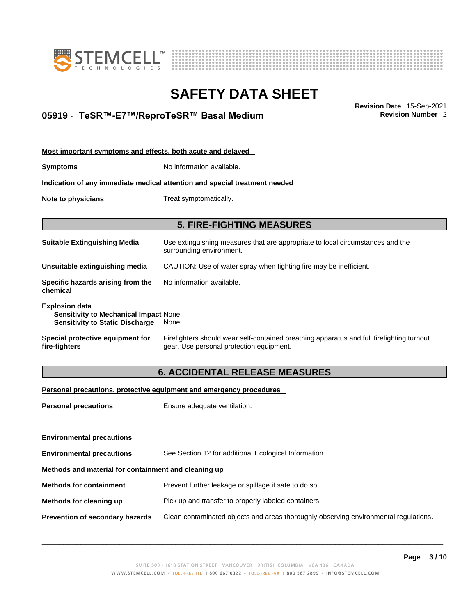



## \_\_\_\_\_\_\_\_\_\_\_\_\_\_\_\_\_\_\_\_\_\_\_\_\_\_\_\_\_\_\_\_\_\_\_\_\_\_\_\_\_\_\_\_\_\_\_\_\_\_\_\_\_\_\_\_\_\_\_\_\_\_\_\_\_\_\_\_\_\_\_\_\_\_\_\_\_\_\_\_\_\_\_\_\_\_\_\_\_\_\_\_\_ **Revision Date** 15-Sep-2021 **05919** - **TeSR™-E7™/ReproTeSR™ Basal Medium Revision Number** 2

| Most important symptoms and effects, both acute and delayed                                                      |                                                                                                                                       |  |
|------------------------------------------------------------------------------------------------------------------|---------------------------------------------------------------------------------------------------------------------------------------|--|
| <b>Symptoms</b>                                                                                                  | No information available.                                                                                                             |  |
|                                                                                                                  | Indication of any immediate medical attention and special treatment needed                                                            |  |
| Note to physicians                                                                                               | Treat symptomatically.                                                                                                                |  |
|                                                                                                                  |                                                                                                                                       |  |
|                                                                                                                  | <b>5. FIRE-FIGHTING MEASURES</b>                                                                                                      |  |
| <b>Suitable Extinguishing Media</b>                                                                              | Use extinguishing measures that are appropriate to local circumstances and the<br>surrounding environment.                            |  |
| Unsuitable extinguishing media                                                                                   | CAUTION: Use of water spray when fighting fire may be inefficient.                                                                    |  |
| Specific hazards arising from the<br>chemical                                                                    | No information available.                                                                                                             |  |
| <b>Explosion data</b><br><b>Sensitivity to Mechanical Impact None.</b><br><b>Sensitivity to Static Discharge</b> | None.                                                                                                                                 |  |
| Special protective equipment for<br>fire-fighters                                                                | Firefighters should wear self-contained breathing apparatus and full firefighting turnout<br>gear. Use personal protection equipment. |  |

### **6. ACCIDENTAL RELEASE MEASURES**

### **Personal precautions, protective equipment and emergency procedures**

| <b>Personal precautions</b>                          | Ensure adequate ventilation.                                                         |  |
|------------------------------------------------------|--------------------------------------------------------------------------------------|--|
|                                                      |                                                                                      |  |
| <b>Environmental precautions</b>                     |                                                                                      |  |
| <b>Environmental precautions</b>                     | See Section 12 for additional Ecological Information.                                |  |
| Methods and material for containment and cleaning up |                                                                                      |  |
| <b>Methods for containment</b>                       | Prevent further leakage or spillage if safe to do so.                                |  |
| Methods for cleaning up                              | Pick up and transfer to properly labeled containers.                                 |  |
| <b>Prevention of secondary hazards</b>               | Clean contaminated objects and areas thoroughly observing environmental regulations. |  |
|                                                      |                                                                                      |  |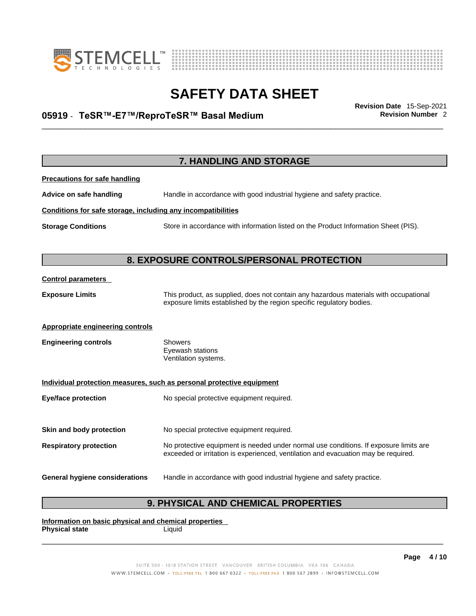



## \_\_\_\_\_\_\_\_\_\_\_\_\_\_\_\_\_\_\_\_\_\_\_\_\_\_\_\_\_\_\_\_\_\_\_\_\_\_\_\_\_\_\_\_\_\_\_\_\_\_\_\_\_\_\_\_\_\_\_\_\_\_\_\_\_\_\_\_\_\_\_\_\_\_\_\_\_\_\_\_\_\_\_\_\_\_\_\_\_\_\_\_\_ **Revision Date** 15-Sep-2021 **05919** - **TeSR™-E7™/ReproTeSR™ Basal Medium Revision Number** 2

|                                                              | <b>7. HANDLING AND STORAGE</b>                                                                                                                                              |
|--------------------------------------------------------------|-----------------------------------------------------------------------------------------------------------------------------------------------------------------------------|
| <b>Precautions for safe handling</b>                         |                                                                                                                                                                             |
| Advice on safe handling                                      | Handle in accordance with good industrial hygiene and safety practice.                                                                                                      |
| Conditions for safe storage, including any incompatibilities |                                                                                                                                                                             |
| <b>Storage Conditions</b>                                    | Store in accordance with information listed on the Product Information Sheet (PIS).                                                                                         |
|                                                              |                                                                                                                                                                             |
|                                                              | 8. EXPOSURE CONTROLS/PERSONAL PROTECTION                                                                                                                                    |
| <b>Control parameters</b>                                    |                                                                                                                                                                             |
| <b>Exposure Limits</b>                                       | This product, as supplied, does not contain any hazardous materials with occupational<br>exposure limits established by the region specific regulatory bodies.              |
| Appropriate engineering controls                             |                                                                                                                                                                             |
| <b>Engineering controls</b>                                  | <b>Showers</b><br>Eyewash stations<br>Ventilation systems.                                                                                                                  |
|                                                              | Individual protection measures, such as personal protective equipment                                                                                                       |
| <b>Eye/face protection</b>                                   | No special protective equipment required.                                                                                                                                   |
| Skin and body protection                                     | No special protective equipment required.                                                                                                                                   |
| <b>Respiratory protection</b>                                | No protective equipment is needed under normal use conditions. If exposure limits are<br>exceeded or irritation is experienced, ventilation and evacuation may be required. |
| <b>General hygiene considerations</b>                        | Handle in accordance with good industrial hygiene and safety practice.                                                                                                      |

### **9. PHYSICAL AND CHEMICAL PROPERTIES**

**Information on basic physical and chemical properties Physical state** Liquid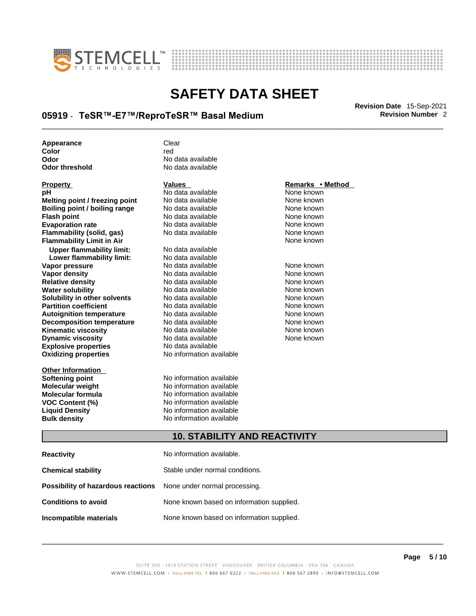



## \_\_\_\_\_\_\_\_\_\_\_\_\_\_\_\_\_\_\_\_\_\_\_\_\_\_\_\_\_\_\_\_\_\_\_\_\_\_\_\_\_\_\_\_\_\_\_\_\_\_\_\_\_\_\_\_\_\_\_\_\_\_\_\_\_\_\_\_\_\_\_\_\_\_\_\_\_\_\_\_\_\_\_\_\_\_\_\_\_\_\_\_\_ **Revision Date** 15-Sep-2021 **05919** - **TeSR™-E7™/ReproTeSR™ Basal Medium Revision Number** 2

| Appearance     | Clear             |
|----------------|-------------------|
| Color          | red               |
| Odor           | No data available |
| Odor threshold | No data available |

| Property                             |
|--------------------------------------|
| рH                                   |
| Melting point / freezing point       |
| <b>Boiling point / boiling range</b> |
| <b>Flash point</b>                   |
| <b>Evaporation rate</b>              |
| Flammability (solid, gas)            |
| <b>Flammability Limit in Air</b>     |
| <b>Upper flammability limit:</b>     |
| Lower flammability limit:            |
| Vapor pressure                       |
| Vapor density                        |
| <b>Relative density</b>              |
| <b>Water solubility</b>              |
| Solubility in other solvents         |
| <b>Partition coefficient</b>         |
| <b>Autoignition temperature</b>      |
| <b>Decomposition temperature</b>     |
| <b>Kinematic viscosity</b>           |
| <b>Dynamic viscosity</b>             |
| <b>Explosive properties</b>          |
| <b>Oxidizing properties</b>          |
|                                      |

**Other Information** 

## **Odor** No data available **No data available**

### **PH ANO data available None known**<br>
No data available None known **Moltinga and** *Melting* **and the Mone known<br>
<b>Molting** None known<br>
None known **Roidata available 1999 Mone known**<br> **Boiling** None known<br> **Roidata available None known No data available Evaporation No data available None known**<br> **Evaporation** None known<br>
None known **No data available**

**Explosive properties** No data available **Oxidizing properties** No information available **No data available Lower flammability limit:** No data available **Vapora Available None known No data available None known None known None known None known None known None known Vapor density in the UP of the Vapor Value Available None known<br>No data available None known No data available No data available None known Solution Islam in Solution None known** None known **Partition Partition Coefficient Coefficient Coefficient Coefficient Coefficient Coefficient Coefficient Coefficient Coefficient Coefficient Coefficient Coefficient Coefficient Coefficient C Automische Munder None known**<br> **Automische None known**<br>
None known **No data available** No data available **None known** No data available None known

**Softening point**<br> **Molecular weight**<br> **Molecular weight**<br> **Molecular weight**<br> **Molecular weight No information available Molecular formula** No information available **VOC Content (%)**<br>
Liquid Density<br>
No information available<br>
No information available **No information available Bulk density No information available** 

### **Property CONSIDERENT CONSIDERENT Values CONSIDERENT CONSIDERENT CONSIDERENT CONSIDERENT CONSIDERENT CONSIDERENT CONSIDERENT CONSIDERENT CONSIDERENT CONSIDERED VALUES**

**Flammability Limit in Air** None known

### **10. STABILITY AND REACTIVITY**

| <b>Reactivity</b>                                                       | No information available.                 |
|-------------------------------------------------------------------------|-------------------------------------------|
| <b>Chemical stability</b>                                               | Stable under normal conditions.           |
| <b>Possibility of hazardous reactions</b> None under normal processing. |                                           |
| <b>Conditions to avoid</b>                                              | None known based on information supplied. |
| Incompatible materials                                                  | None known based on information supplied. |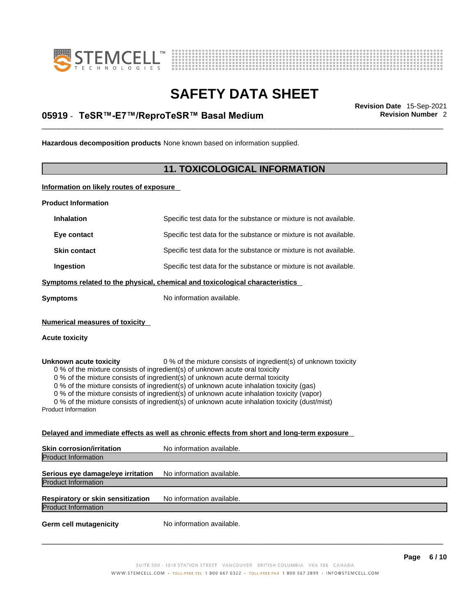



## \_\_\_\_\_\_\_\_\_\_\_\_\_\_\_\_\_\_\_\_\_\_\_\_\_\_\_\_\_\_\_\_\_\_\_\_\_\_\_\_\_\_\_\_\_\_\_\_\_\_\_\_\_\_\_\_\_\_\_\_\_\_\_\_\_\_\_\_\_\_\_\_\_\_\_\_\_\_\_\_\_\_\_\_\_\_\_\_\_\_\_\_\_ **Revision Date** 15-Sep-2021 **05919** - **TeSR™-E7™/ReproTeSR™ Basal Medium Revision Number** 2

**Hazardous decomposition products** None known based on information supplied.

### **11. TOXICOLOGICAL INFORMATION**

**Information on likely routes of exposure**

**Product Information**

| <b>Inhalation</b>                                                                                                                                                                                                                                                                                                                                                                                                                                                                                                                                                                 | Specific test data for the substance or mixture is not available.            |  |
|-----------------------------------------------------------------------------------------------------------------------------------------------------------------------------------------------------------------------------------------------------------------------------------------------------------------------------------------------------------------------------------------------------------------------------------------------------------------------------------------------------------------------------------------------------------------------------------|------------------------------------------------------------------------------|--|
| Eye contact                                                                                                                                                                                                                                                                                                                                                                                                                                                                                                                                                                       | Specific test data for the substance or mixture is not available.            |  |
| <b>Skin contact</b>                                                                                                                                                                                                                                                                                                                                                                                                                                                                                                                                                               | Specific test data for the substance or mixture is not available.            |  |
| Ingestion                                                                                                                                                                                                                                                                                                                                                                                                                                                                                                                                                                         | Specific test data for the substance or mixture is not available.            |  |
|                                                                                                                                                                                                                                                                                                                                                                                                                                                                                                                                                                                   | Symptoms related to the physical, chemical and toxicological characteristics |  |
| <b>Symptoms</b>                                                                                                                                                                                                                                                                                                                                                                                                                                                                                                                                                                   | No information available.                                                    |  |
| <b>Numerical measures of toxicity</b><br><b>Acute toxicity</b>                                                                                                                                                                                                                                                                                                                                                                                                                                                                                                                    |                                                                              |  |
| 0 % of the mixture consists of ingredient(s) of unknown toxicity<br>Unknown acute toxicity<br>0 % of the mixture consists of ingredient(s) of unknown acute oral toxicity<br>0 % of the mixture consists of ingredient(s) of unknown acute dermal toxicity<br>0 % of the mixture consists of ingredient(s) of unknown acute inhalation toxicity (gas)<br>0 % of the mixture consists of ingredient(s) of unknown acute inhalation toxicity (vapor)<br>0 % of the mixture consists of ingredient(s) of unknown acute inhalation toxicity (dust/mist)<br><b>Product Information</b> |                                                                              |  |
| Delayed and immediate effects as well as chronic effects from short and long-term exposure                                                                                                                                                                                                                                                                                                                                                                                                                                                                                        |                                                                              |  |
| <b>Skin corrosion/irritation</b>                                                                                                                                                                                                                                                                                                                                                                                                                                                                                                                                                  | No information available.                                                    |  |
| <b>Product Information</b>                                                                                                                                                                                                                                                                                                                                                                                                                                                                                                                                                        |                                                                              |  |
|                                                                                                                                                                                                                                                                                                                                                                                                                                                                                                                                                                                   |                                                                              |  |

**Serious eye damage/eye irritation** No information available. Product Information

**Respiratory or skin sensitization** No information available. Product Information

**Germ cell mutagenicity** No information available.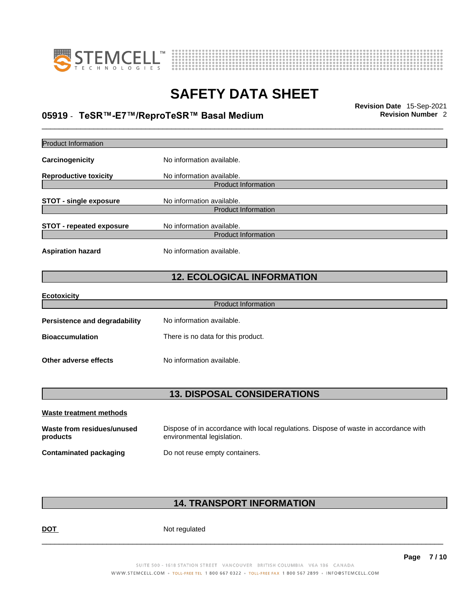



## \_\_\_\_\_\_\_\_\_\_\_\_\_\_\_\_\_\_\_\_\_\_\_\_\_\_\_\_\_\_\_\_\_\_\_\_\_\_\_\_\_\_\_\_\_\_\_\_\_\_\_\_\_\_\_\_\_\_\_\_\_\_\_\_\_\_\_\_\_\_\_\_\_\_\_\_\_\_\_\_\_\_\_\_\_\_\_\_\_\_\_\_\_ **Revision Date** 15-Sep-2021 **05919** - **TeSR™-E7™/ReproTeSR™ Basal Medium Revision Number** 2

| Product Information                    |                                                                                                                    |
|----------------------------------------|--------------------------------------------------------------------------------------------------------------------|
| Carcinogenicity                        | No information available.                                                                                          |
| Reproductive toxicity                  | No information available.<br><b>Product Information</b>                                                            |
| <b>STOT - single exposure</b>          | No information available.<br><b>Product Information</b>                                                            |
| <b>STOT - repeated exposure</b>        | No information available.<br><b>Product Information</b>                                                            |
| <b>Aspiration hazard</b>               | No information available.                                                                                          |
|                                        | <b>12. ECOLOGICAL INFORMATION</b>                                                                                  |
| Ecotoxicity                            |                                                                                                                    |
|                                        | <b>Product Information</b>                                                                                         |
| Persistence and degradability          | No information available.                                                                                          |
| <b>Bioaccumulation</b>                 | There is no data for this product.                                                                                 |
| Other adverse effects                  | No information available.                                                                                          |
|                                        |                                                                                                                    |
|                                        | <b>13. DISPOSAL CONSIDERATIONS</b>                                                                                 |
| Waste treatment methods                |                                                                                                                    |
| Waste from residues/unused<br>products | Dispose of in accordance with local regulations. Dispose of waste in accordance with<br>environmental legislation. |
| <b>Contaminated packaging</b>          | Do not reuse empty containers.                                                                                     |
|                                        |                                                                                                                    |

### **14. TRANSPORT INFORMATION**

DOT Not regulated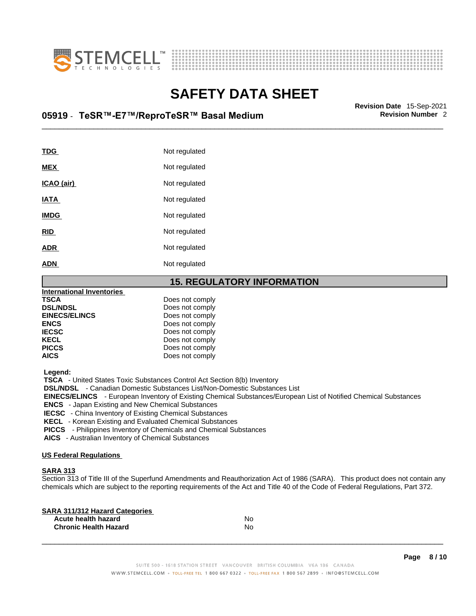



## \_\_\_\_\_\_\_\_\_\_\_\_\_\_\_\_\_\_\_\_\_\_\_\_\_\_\_\_\_\_\_\_\_\_\_\_\_\_\_\_\_\_\_\_\_\_\_\_\_\_\_\_\_\_\_\_\_\_\_\_\_\_\_\_\_\_\_\_\_\_\_\_\_\_\_\_\_\_\_\_\_\_\_\_\_\_\_\_\_\_\_\_\_ **Revision Date** 15-Sep-2021 **05919** - **TeSR™-E7™/ReproTeSR™ Basal Medium Revision Number** 2

| <b>TDG</b>  | Not regulated |
|-------------|---------------|
| <b>MEX</b>  | Not regulated |
| ICAO (air)  | Not regulated |
| <b>IATA</b> | Not regulated |
| <b>IMDG</b> | Not regulated |
| <b>RID</b>  | Not regulated |
| <b>ADR</b>  | Not regulated |
| <b>ADN</b>  | Not regulated |

### **15. REGULATORY INFORMATION**

| <b>International Inventories</b> |                 |  |
|----------------------------------|-----------------|--|
| <b>TSCA</b>                      | Does not comply |  |
| <b>DSL/NDSL</b>                  | Does not comply |  |
| <b>EINECS/ELINCS</b>             | Does not comply |  |
| <b>ENCS</b>                      | Does not comply |  |
| <b>IECSC</b>                     | Does not comply |  |
| <b>KECL</b>                      | Does not comply |  |
| <b>PICCS</b>                     | Does not comply |  |
| <b>AICS</b>                      | Does not comply |  |
|                                  |                 |  |

 **Legend:** 

 **TSCA** - United States Toxic Substances Control Act Section 8(b) Inventory

 **DSL/NDSL** - Canadian Domestic Substances List/Non-Domestic Substances List

 **EINECS/ELINCS** - European Inventory of Existing Chemical Substances/European List of Notified Chemical Substances

 **ENCS** - Japan Existing and New Chemical Substances

 **IECSC** - China Inventory of Existing Chemical Substances

 **KECL** - Korean Existing and Evaluated Chemical Substances

 **PICCS** - Philippines Inventory of Chemicals and Chemical Substances

 **AICS** - Australian Inventory of Chemical Substances

#### **US Federal Regulations**

### **SARA 313**

Section 313 of Title III of the Superfund Amendments and Reauthorization Act of 1986 (SARA). This product does not contain any chemicals which are subject to the reporting requirements of the Act and Title 40 of the Code of Federal Regulations, Part 372.

| No |  |
|----|--|
| No |  |
|    |  |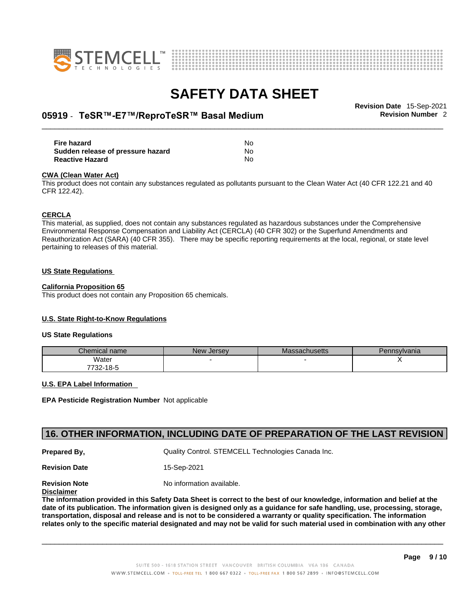



## \_\_\_\_\_\_\_\_\_\_\_\_\_\_\_\_\_\_\_\_\_\_\_\_\_\_\_\_\_\_\_\_\_\_\_\_\_\_\_\_\_\_\_\_\_\_\_\_\_\_\_\_\_\_\_\_\_\_\_\_\_\_\_\_\_\_\_\_\_\_\_\_\_\_\_\_\_\_\_\_\_\_\_\_\_\_\_\_\_\_\_\_\_ **Revision Date** 15-Sep-2021 **05919** - **TeSR™-E7™/ReproTeSR™ Basal Medium Revision Number** 2

| <b>Fire hazard</b>                | No |
|-----------------------------------|----|
| Sudden release of pressure hazard | No |
| <b>Reactive Hazard</b>            | N٥ |

#### **CWA** (Clean Water Act)

This product does not contain any substances regulated as pollutants pursuant to the Clean Water Act (40 CFR 122.21 and 40 CFR 122.42).

#### **CERCLA**

This material, as supplied, does not contain any substances regulated as hazardous substances under the Comprehensive Environmental Response Compensation and Liability Act (CERCLA) (40 CFR 302) or the Superfund Amendments and Reauthorization Act (SARA) (40 CFR 355). There may be specific reporting requirements at the local, regional, or state level pertaining to releases of this material.

#### **US State Regulations**

#### **California Proposition 65**

This product does not contain any Proposition 65 chemicals.

### **U.S. State Right-to-Know Regulations**

#### **US State Regulations**

| Chemical name    | New<br><b>Jersey</b> | Massachusetts | Pennsylvania |
|------------------|----------------------|---------------|--------------|
| Water            |                      |               |              |
| フフへへ<br>732-18-5 |                      |               |              |

#### **U.S. EPA Label Information**

**EPA Pesticide Registration Number** Not applicable

### **16. OTHER INFORMATION, INCLUDING DATE OF PREPARATION OF THE LAST REVISION**

**Prepared By, Cuality Control. STEMCELL Technologies Canada Inc.** 

**Revision Date** 15-Sep-2021

**Revision Note** Noinformation available.

### **Disclaimer**

The information provided in this Safety Data Sheet is correct to the best of our knowledge, information and belief at the date of its publication. The information given is designed only as a guidance for safe handling, use, processing, storage, transportation, disposal and release and is not to be considered a warranty or quality specification. The information relates only to the specific material designated and may not be valid for such material used in combination with any other